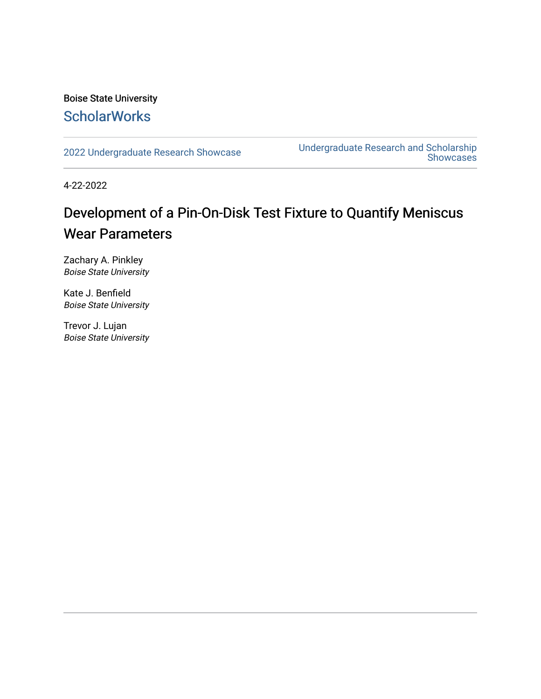#### Boise State University **ScholarWorks**

[2022 Undergraduate Research Showcase](https://scholarworks.boisestate.edu/under_showcase_2022) [Undergraduate Research and Scholarship](https://scholarworks.boisestate.edu/under_conference)  Showcases

4-22-2022

#### Development of a Pin-On-Disk Test Fixture to Quantify Meniscus Wear Parameters

Zachary A. Pinkley Boise State University

Kate J. Benfield Boise State University

Trevor J. Lujan Boise State University